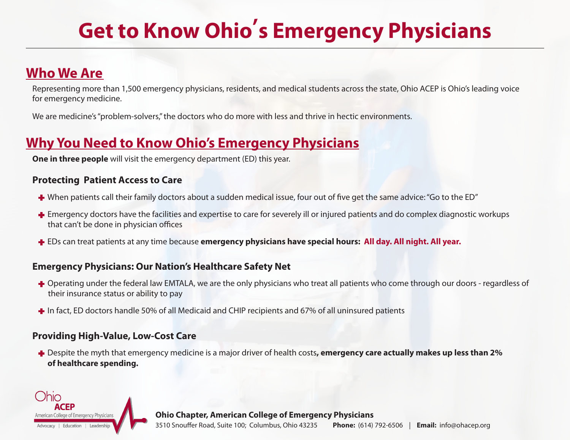# **Get to Know Ohio's Emergency Physicians**

### **Who We Are**

Representing more than 1,500 emergency physicians, residents, and medical students across the state, Ohio ACEP is Ohio's leading voice for emergency medicine.

We are medicine's "problem-solvers," the doctors who do more with less and thrive in hectic environments.

### **Why You Need to Know Ohio's Emergency Physicians**

**One in three people** will visit the emergency department (ED) this year.

#### **Protecting Patient Access to Care**

- **+** When patients call their family doctors about a sudden medical issue, four out of five get the same advice: "Go to the ED"
- **+** Emergency doctors have the facilities and expertise to care for severely ill or injured patients and do complex diagnostic workups that can't be done in physician offices
- **+** EDs can treat patients at any time because **emergency physicians have special hours: All day. All night. All year.**

### **Emergency Physicians: Our Nation's Healthcare Safety Net**

- **+** Operating under the federal law EMTALA, we are the only physicians who treat all patients who come through our doors regardless of their insurance status or ability to pay
- **+** In fact, ED doctors handle 50% of all Medicaid and CHIP recipients and 67% of all uninsured patients

### **Providing High-Value, Low-Cost Care**

**+** Despite the myth that emergency medicine is a major driver of health costs**, emergency care actually makes up less than 2% of healthcare spending.**



**Ohio Chapter, American College of Emergency Physicians**